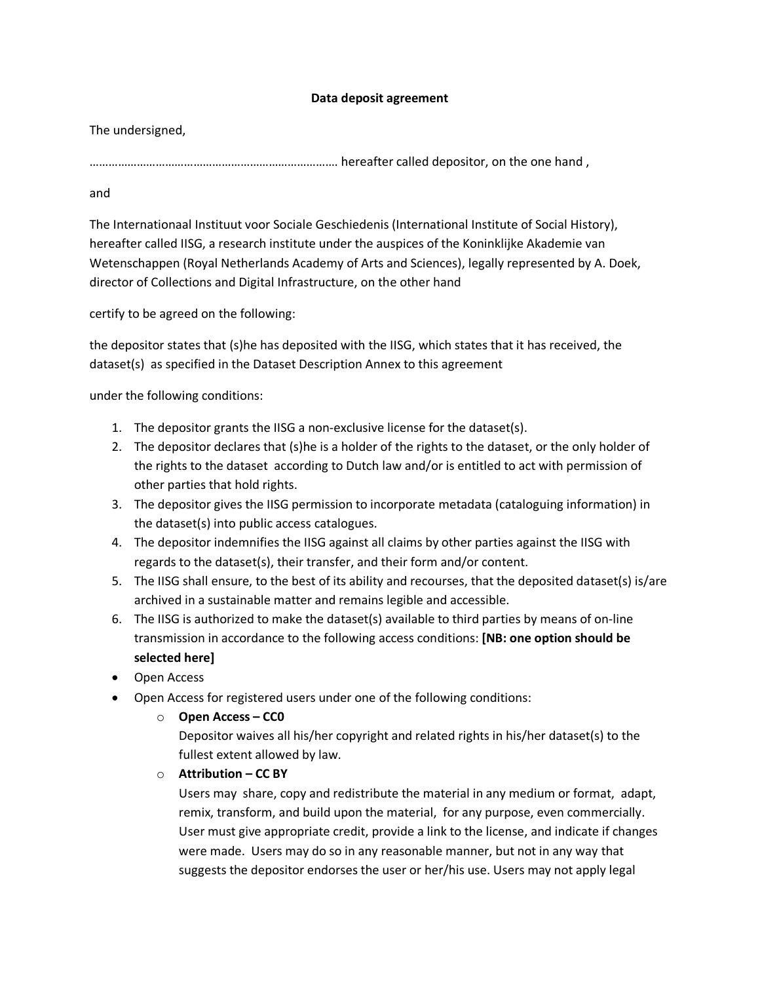## **Data deposit agreement**

The undersigned,

……………………………………………………………………. hereafter called depositor, on the one hand ,

and

The Internationaal Instituut voor Sociale Geschiedenis (International Institute of Social History), hereafter called IISG, a research institute under the auspices of the Koninklijke Akademie van Wetenschappen (Royal Netherlands Academy of Arts and Sciences), legally represented by A. Doek, director of Collections and Digital Infrastructure, on the other hand

certify to be agreed on the following:

the depositor states that (s)he has deposited with the IISG, which states that it has received, the dataset(s) as specified in the Dataset Description Annex to this agreement

under the following conditions:

- 1. The depositor grants the IISG a non-exclusive license for the dataset(s).
- 2. The depositor declares that (s)he is a holder of the rights to the dataset, or the only holder of the rights to the dataset according to Dutch law and/or is entitled to act with permission of other parties that hold rights.
- 3. The depositor gives the IISG permission to incorporate metadata (cataloguing information) in the dataset(s) into public access catalogues.
- 4. The depositor indemnifies the IISG against all claims by other parties against the IISG with regards to the dataset(s), their transfer, and their form and/or content.
- 5. The IISG shall ensure, to the best of its ability and recourses, that the deposited dataset(s) is/are archived in a sustainable matter and remains legible and accessible.
- 6. The IISG is authorized to make the dataset(s) available to third parties by means of on-line transmission in accordance to the following access conditions: **[NB: one option should be selected here]**
- Open Access
- Open Access for registered users under one of the following conditions:
	- o **Open Access – CC0**

Depositor waives all his/her copyright and related rights in his/her dataset(s) to the fullest extent allowed by law.

o **Attribution – CC BY** 

Users may share, copy and redistribute the material in any medium or format, adapt, remix, transform, and build upon the material, for any purpose, even commercially. User must give appropriate credit, provide a link to the license, and indicate if changes were made. Users may do so in any reasonable manner, but not in any way that suggests the depositor endorses the user or her/his use. Users may not apply legal